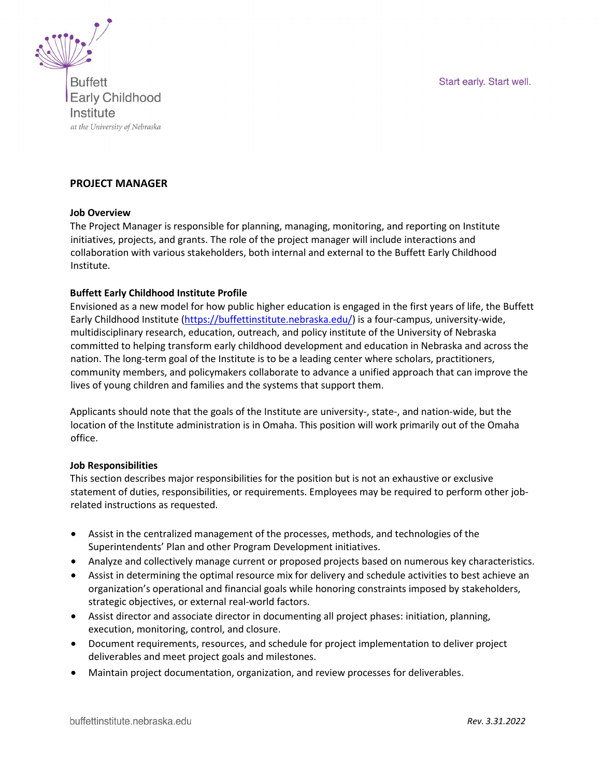Start early. Start well.



**Buffett Early Childhood** Institute at the University of Nebraska

#### **PROJECT MANAGER**

#### **Job Overview**

The Project Manager is responsible for planning, managing, monitoring, and reporting on Institute initiatives, projects, and grants. The role of the project manager will include interactions and collaboration with various stakeholders, both internal and external to the Buffett Early Childhood Institute.

#### **Buffett Early Childhood Institute Profile**

Envisioned as a new model for how public higher education is engaged in the first years of life, the Buffett Early Childhood Institute (https://buffettinstitute.nebraska.edu/) is a four-campus, university-wide, multidisciplinary research, education, outreach, and policy institute of the University of Nebraska committed to helping transform early childhood development and education in Nebraska and across the nation. The long-term goal of the Institute is to be a leading center where scholars, practitioners, community members, and policymakers collaborate to advance a unified approach that can improve the lives of young children and families and the systems that support them.

Applicants should note that the goals of the Institute are university-, state-, and nation-wide, but the location of the Institute administration is in Omaha. This position will work primarily out of the Omaha office.

#### **Job Responsibilities**

This section describes major responsibilities for the position but is not an exhaustive or exclusive statement of duties, responsibilities, or requirements. Employees may be required to perform other jobrelated instructions as requested.

- Assist in the centralized management of the processes, methods, and technologies of the Superintendents' Plan and other Program Development initiatives.
- Analyze and collectively manage current or proposed projects based on numerous key characteristics.
- Assist in determining the optimal resource mix for delivery and schedule activities to best achieve an organization's operational and financial goals while honoring constraints imposed by stakeholders, strategic objectives, or external real-world factors.
- Assist director and associate director in documenting all project phases: initiation, planning, execution, monitoring, control, and closure.
- Document requirements, resources, and schedule for project implementation to deliver project deliverables and meet project goals and milestones.
- Maintain project documentation, organization, and review processes for deliverables.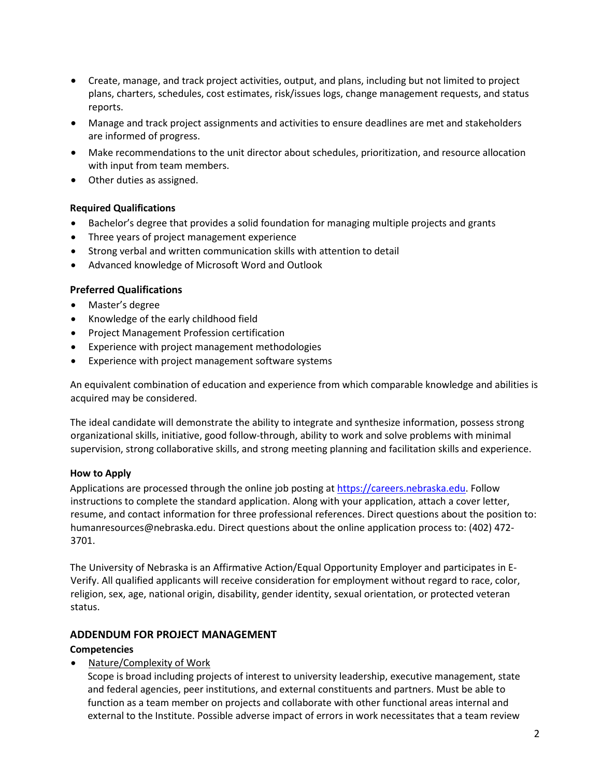- Create, manage, and track project activities, output, and plans, including but not limited to project plans, charters, schedules, cost estimates, risk/issues logs, change management requests, and status reports.
- Manage and track project assignments and activities to ensure deadlines are met and stakeholders are informed of progress.
- Make recommendations to the unit director about schedules, prioritization, and resource allocation with input from team members.
- Other duties as assigned.

#### **Required Qualifications**

- Bachelor's degree that provides a solid foundation for managing multiple projects and grants
- Three years of project management experience
- Strong verbal and written communication skills with attention to detail
- Advanced knowledge of Microsoft Word and Outlook

#### **Preferred Qualifications**

- Master's degree
- Knowledge of the early childhood field
- Project Management Profession certification
- Experience with project management methodologies
- Experience with project management software systems

An equivalent combination of education and experience from which comparable knowledge and abilities is acquired may be considered.

The ideal candidate will demonstrate the ability to integrate and synthesize information, possess strong organizational skills, initiative, good follow-through, ability to work and solve problems with minimal supervision, strong collaborative skills, and strong meeting planning and facilitation skills and experience.

#### **How to Apply**

Applications are processed through the online job posting at https://careers.nebraska.edu. Follow instructions to complete the standard application. Along with your application, attach a cover letter, resume, and contact information for three professional references. Direct questions about the position to: humanresources@nebraska.edu. Direct questions about the online application process to: (402) 472- 3701.

The University of Nebraska is an Affirmative Action/Equal Opportunity Employer and participates in E-Verify. All qualified applicants will receive consideration for employment without regard to race, color, religion, sex, age, national origin, disability, gender identity, sexual orientation, or protected veteran status.

# **ADDENDUM FOR PROJECT MANAGEMENT**

#### **Competencies**

• Nature/Complexity of Work

 Scope is broad including projects of interest to university leadership, executive management, state and federal agencies, peer institutions, and external constituents and partners. Must be able to function as a team member on projects and collaborate with other functional areas internal and external to the Institute. Possible adverse impact of errors in work necessitates that a team review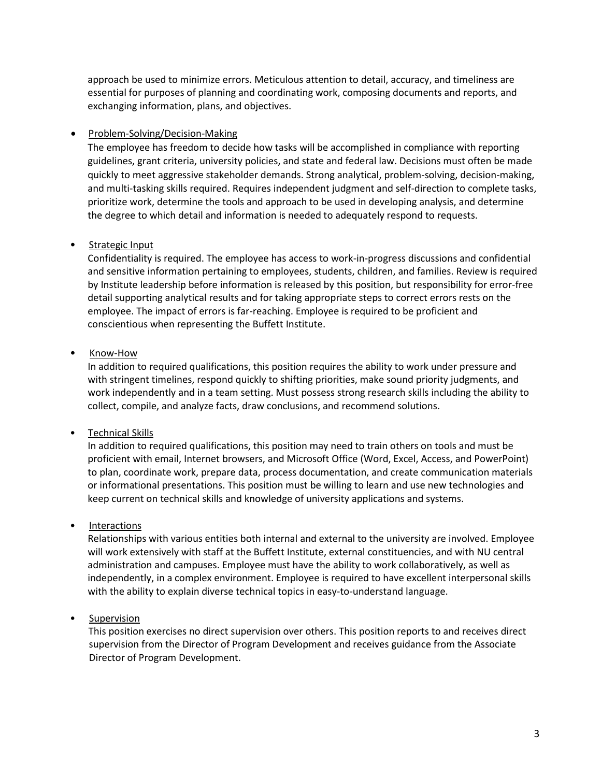approach be used to minimize errors. Meticulous attention to detail, accuracy, and timeliness are essential for purposes of planning and coordinating work, composing documents and reports, and exchanging information, plans, and objectives.

#### • Problem-Solving/Decision-Making

The employee has freedom to decide how tasks will be accomplished in compliance with reporting guidelines, grant criteria, university policies, and state and federal law. Decisions must often be made quickly to meet aggressive stakeholder demands. Strong analytical, problem-solving, decision-making, and multi-tasking skills required. Requires independent judgment and self-direction to complete tasks, prioritize work, determine the tools and approach to be used in developing analysis, and determine the degree to which detail and information is needed to adequately respond to requests.

# • Strategic Input

 Confidentiality is required. The employee has access to work-in-progress discussions and confidential and sensitive information pertaining to employees, students, children, and families. Review is required by Institute leadership before information is released by this position, but responsibility for error-free detail supporting analytical results and for taking appropriate steps to correct errors rests on the employee. The impact of errors is far-reaching. Employee is required to be proficient and conscientious when representing the Buffett Institute.

# • Know-How

 In addition to required qualifications, this position requires the ability to work under pressure and with stringent timelines, respond quickly to shifting priorities, make sound priority judgments, and work independently and in a team setting. Must possess strong research skills including the ability to collect, compile, and analyze facts, draw conclusions, and recommend solutions.

# • Technical Skills

 In addition to required qualifications, this position may need to train others on tools and must be proficient with email, Internet browsers, and Microsoft Office (Word, Excel, Access, and PowerPoint) to plan, coordinate work, prepare data, process documentation, and create communication materials or informational presentations. This position must be willing to learn and use new technologies and keep current on technical skills and knowledge of university applications and systems.

# • Interactions

 Relationships with various entities both internal and external to the university are involved. Employee will work extensively with staff at the Buffett Institute, external constituencies, and with NU central administration and campuses. Employee must have the ability to work collaboratively, as well as independently, in a complex environment. Employee is required to have excellent interpersonal skills with the ability to explain diverse technical topics in easy-to-understand language.

# • Supervision

This position exercises no direct supervision over others. This position reports to and receives direct supervision from the Director of Program Development and receives guidance from the Associate Director of Program Development.